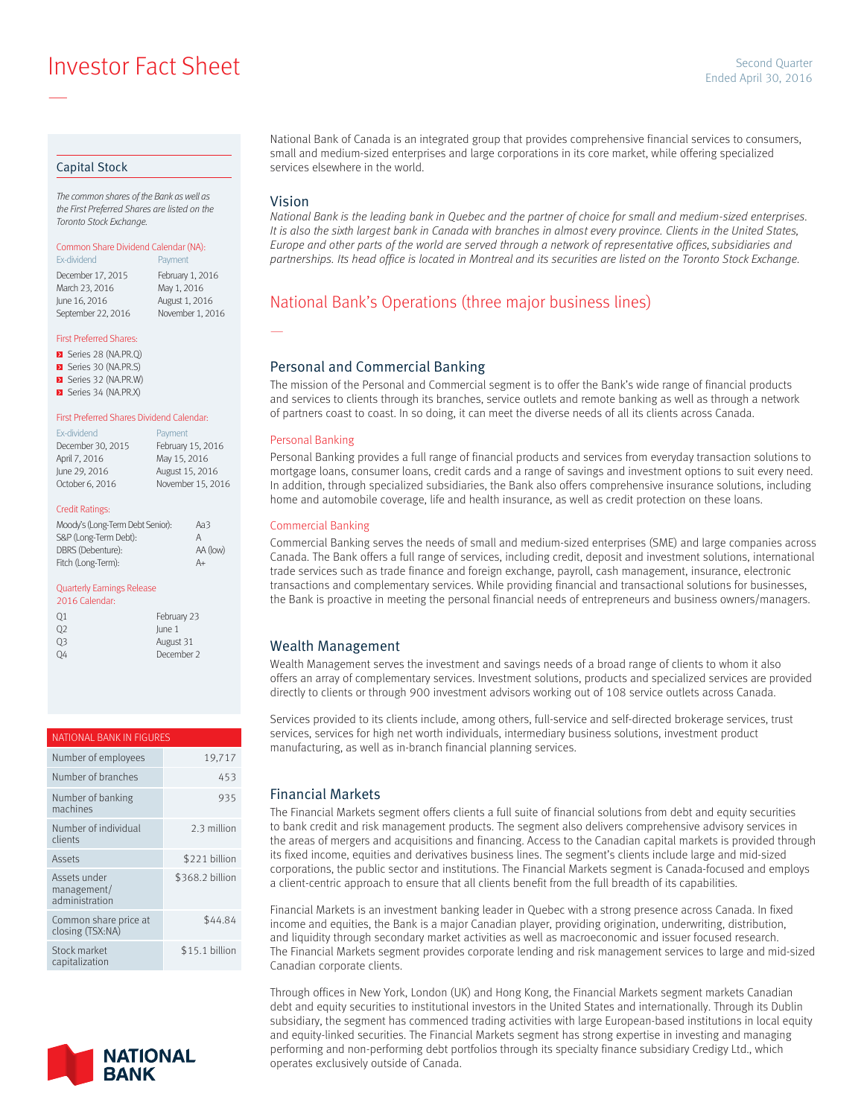**Example 2016** Investor Fact Sheet Sheet April 30, 2016

### Capital Stock

—

*The common shares of the Bank as well as the First Preferred Shares are listed on the Toronto Stock Exchange.*

#### Common Share Dividend Calendar (NA): Ex-dividend **Payment**

December 17, 2015 February 1, 2016<br>March 23, 2016 May 1, 2016 March 23, 2016 June 16, 2016 August 1, 2016 September 22, 2016 November 1, 2016

#### First Preferred Shares:

- Series 28 (NA.PR.Q)
- Series 30 (NA.PR.S)
- Series 32 (NA.PR.W) Series 34 (NA.PR.X)

# First Preferred Shares Dividend Calendar:

| Ex-dividend       | Payment           |
|-------------------|-------------------|
| December 30, 2015 | February 15, 2016 |
| April 7, 2016     | May 15, 2016      |
| June 29, 2016     | August 15, 2016   |
| October 6, 2016   | November 15, 2016 |
|                   |                   |

#### Credit Ratings:

| Moody's (Long-Term Debt Senior): | Aa3      |
|----------------------------------|----------|
| S&P (Long-Term Debt):            | Α        |
| DBRS (Debenture):                | AA (low) |
| Fitch (Long-Term):               | A+       |

#### Quarterly Earnings Release

| 2016 Calendar: |             |
|----------------|-------------|
| 01             | February 23 |
| 02             | lune 1      |
| 03             | August 31   |
| OΔ             | December 2  |

# NATIONAL BANK IN FIGURES Number of employees 19,717

| Number of branches                            | 453             |
|-----------------------------------------------|-----------------|
| Number of banking<br>machines                 | 935             |
| Number of individual<br>clients               | 2.3 million     |
| Assets                                        | \$221 billion   |
| Assets under<br>management/<br>administration | \$368.2 billion |
| Common share price at<br>closing (TSX:NA)     | \$44.84         |
| Stock market<br>capitalization                | \$15.1 billion  |



National Bank of Canada is an integrated group that provides comprehensive financial services to consumers, small and medium-sized enterprises and large corporations in its core market, while offering specialized services elsewhere in the world.

### Vision

—

*National Bank is the leading bank in Quebec and the partner of choice for small and medium-sized enterprises.*  It is also the sixth largest bank in Canada with branches in almost every province. Clients in the United States, *Europe and other parts of the world are served through a network of representative offices, subsidiaries and partnerships. Its head office is located in Montreal and its securities are listed on the Toronto Stock Exchange.*

# National Bank's Operations (three major business lines)

## Personal and Commercial Banking

The mission of the Personal and Commercial segment is to offer the Bank's wide range of financial products and services to clients through its branches, service outlets and remote banking as well as through a network of partners coast to coast. In so doing, it can meet the diverse needs of all its clients across Canada.

#### Personal Banking

Personal Banking provides a full range of financial products and services from everyday transaction solutions to mortgage loans, consumer loans, credit cards and a range of savings and investment options to suit every need. In addition, through specialized subsidiaries, the Bank also offers comprehensive insurance solutions, including home and automobile coverage, life and health insurance, as well as credit protection on these loans.

#### Commercial Banking

Commercial Banking serves the needs of small and medium-sized enterprises (SME) and large companies across Canada. The Bank offers a full range of services, including credit, deposit and investment solutions, international trade services such as trade finance and foreign exchange, payroll, cash management, insurance, electronic transactions and complementary services. While providing financial and transactional solutions for businesses, the Bank is proactive in meeting the personal financial needs of entrepreneurs and business owners/managers.

## Wealth Management

Wealth Management serves the investment and savings needs of a broad range of clients to whom it also offers an array of complementary services. Investment solutions, products and specialized services are provided directly to clients or through 900 investment advisors working out of 108 service outlets across Canada.

Services provided to its clients include, among others, full-service and self-directed brokerage services, trust services, services for high net worth individuals, intermediary business solutions, investment product manufacturing, as well as in-branch financial planning services.

### Financial Markets

The Financial Markets segment offers clients a full suite of financial solutions from debt and equity securities to bank credit and risk management products. The segment also delivers comprehensive advisory services in the areas of mergers and acquisitions and financing. Access to the Canadian capital markets is provided through its fixed income, equities and derivatives business lines. The segment's clients include large and mid-sized corporations, the public sector and institutions. The Financial Markets segment is Canada-focused and employs a client-centric approach to ensure that all clients benefit from the full breadth of its capabilities.

Financial Markets is an investment banking leader in Quebec with a strong presence across Canada. In fixed income and equities, the Bank is a major Canadian player, providing origination, underwriting, distribution, and liquidity through secondary market activities as well as macroeconomic and issuer focused research. The Financial Markets segment provides corporate lending and risk management services to large and mid-sized Canadian corporate clients.

Through offices in New York, London (UK) and Hong Kong, the Financial Markets segment markets Canadian debt and equity securities to institutional investors in the United States and internationally. Through its Dublin subsidiary, the segment has commenced trading activities with large European-based institutions in local equity and equity-linked securities. The Financial Markets segment has strong expertise in investing and managing performing and non-performing debt portfolios through its specialty finance subsidiary Credigy Ltd., which operates exclusively outside of Canada.